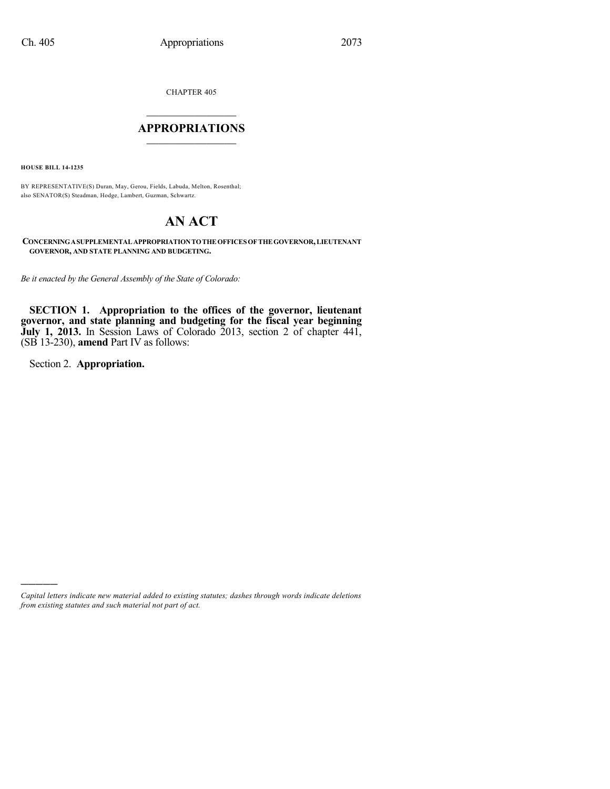CHAPTER 405

## $\mathcal{L}_\text{max}$  . The set of the set of the set of the set of the set of the set of the set of the set of the set of the set of the set of the set of the set of the set of the set of the set of the set of the set of the set **APPROPRIATIONS**  $\_$   $\_$   $\_$   $\_$   $\_$   $\_$   $\_$   $\_$

**HOUSE BILL 14-1235**

BY REPRESENTATIVE(S) Duran, May, Gerou, Fields, Labuda, Melton, Rosenthal; also SENATOR(S) Steadman, Hodge, Lambert, Guzman, Schwartz.

# **AN ACT**

**CONCERNINGASUPPLEMENTALAPPROPRIATIONTOTHEOFFICES OFTHEGOVERNOR,LIEUTENANT GOVERNOR, AND STATE PLANNING AND BUDGETING.**

*Be it enacted by the General Assembly of the State of Colorado:*

**SECTION 1. Appropriation to the offices of the governor, lieutenant governor, and state planning and budgeting for the fiscal year beginning July 1, 2013.** In Session Laws of Colorado 2013, section 2 of chapter 441, (SB 13-230), **amend** Part IV as follows:

Section 2. **Appropriation.**

)))))

*Capital letters indicate new material added to existing statutes; dashes through words indicate deletions from existing statutes and such material not part of act.*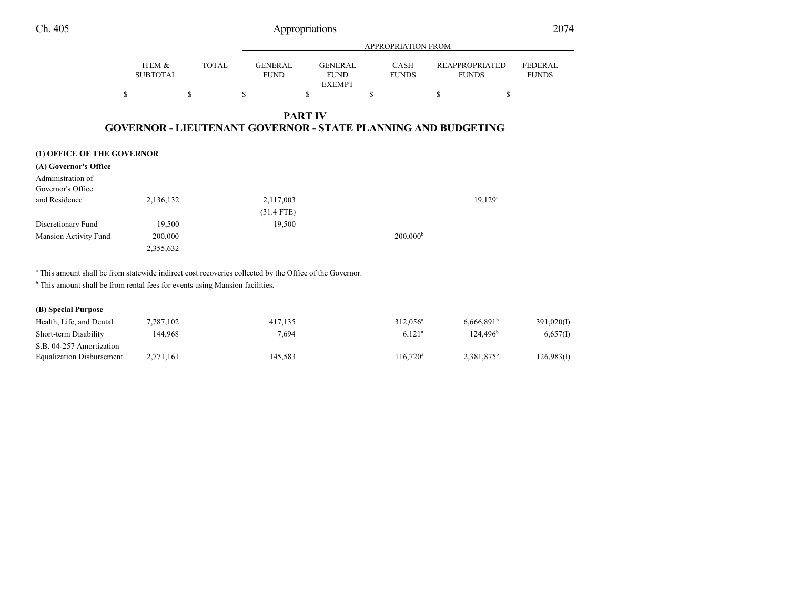|                            |                           |              | <b>APPROPRIATION FROM</b>     |                                                |                      |                                                                      |                                |  |
|----------------------------|---------------------------|--------------|-------------------------------|------------------------------------------------|----------------------|----------------------------------------------------------------------|--------------------------------|--|
|                            | ITEM &<br><b>SUBTOTAL</b> | <b>TOTAL</b> | <b>GENERAL</b><br><b>FUND</b> | <b>GENERAL</b><br><b>FUND</b><br><b>EXEMPT</b> | CASH<br><b>FUNDS</b> | <b>REAPPROPRIATED</b><br><b>FUNDS</b>                                | <b>FEDERAL</b><br><b>FUNDS</b> |  |
|                            | S                         | \$           | \$                            | \$                                             | \$                   | \$<br>\$                                                             |                                |  |
|                            |                           |              |                               | <b>PART IV</b>                                 |                      | <b>GOVERNOR - LIEUTENANT GOVERNOR - STATE PLANNING AND BUDGETING</b> |                                |  |
| (1) OFFICE OF THE GOVERNOR |                           |              |                               |                                                |                      |                                                                      |                                |  |
| (A) Governor's Office      |                           |              |                               |                                                |                      |                                                                      |                                |  |
| Administration of          |                           |              |                               |                                                |                      |                                                                      |                                |  |
| Governor's Office          |                           |              |                               |                                                |                      |                                                                      |                                |  |
| and Residence              | 2,136,132                 |              | 2,117,003                     |                                                |                      | $19,129^a$                                                           |                                |  |
|                            |                           |              | $(31.4$ FTE)                  |                                                |                      |                                                                      |                                |  |

 $200,000^{\rm b}$ 

2,355,632

Discretionary Fund 19,500 19,500 19,500

a This amount shall be from statewide indirect cost recoveries collected by the Office of the Governor.

<sup>b</sup> This amount shall be from rental fees for events using Mansion facilities.

## **(B) Special Purpose**

Mansion Activity Fund 200,000

| Health, Life, and Dental         | 7,787,102 | 417.135 | $312.056^a$       | 6.666.891 <sup>b</sup> | 391,020(I) |
|----------------------------------|-----------|---------|-------------------|------------------------|------------|
| Short-term Disability            | 144.968   | 7.694   | $6,121^{\circ}$   | 124.496 <sup>b</sup>   | 6,657(I)   |
| S.B. 04-257 Amortization         |           |         |                   |                        |            |
| <b>Equalization Disbursement</b> | 2,771,161 | 145.583 | $116.720^{\rm a}$ | 2.381.875 <sup>b</sup> | 126,983(I) |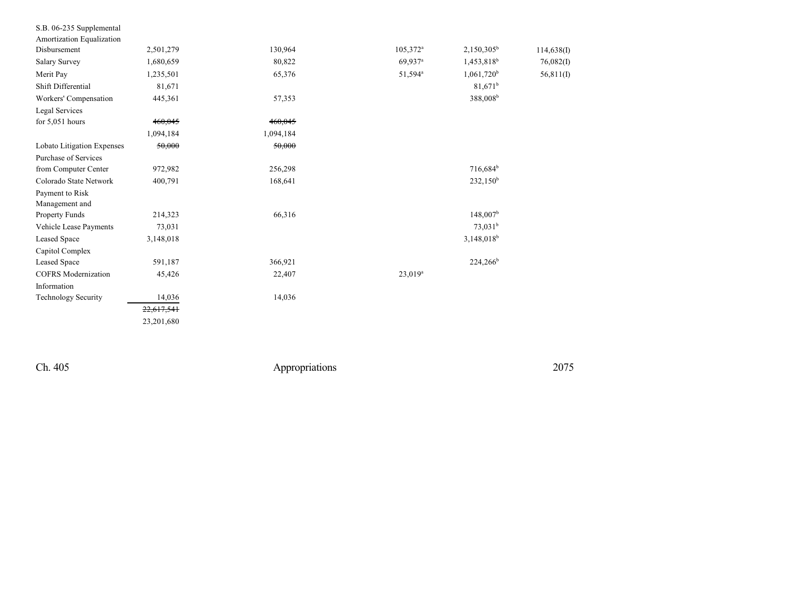| S.B. 06-235 Supplemental   |            |           |                      |                          |            |
|----------------------------|------------|-----------|----------------------|--------------------------|------------|
| Amortization Equalization  |            |           |                      |                          |            |
| Disbursement               | 2,501,279  | 130,964   | 105,372 <sup>a</sup> | $2,150,305^b$            | 114,638(I) |
| <b>Salary Survey</b>       | 1,680,659  | 80,822    | 69,937 <sup>a</sup>  | 1,453,818 <sup>b</sup>   | 76,082(1)  |
| Merit Pay                  | 1,235,501  | 65,376    | 51,594 <sup>a</sup>  | $1,061,720$ <sup>b</sup> | 56,811(I)  |
| Shift Differential         | 81,671     |           |                      | $81,671^b$               |            |
| Workers' Compensation      | 445,361    | 57,353    |                      | 388,008 <sup>b</sup>     |            |
| Legal Services             |            |           |                      |                          |            |
| for $5,051$ hours          | 460,045    | 460,045   |                      |                          |            |
|                            | 1,094,184  | 1,094,184 |                      |                          |            |
| Lobato Litigation Expenses | 50,000     | 50,000    |                      |                          |            |
| Purchase of Services       |            |           |                      |                          |            |
| from Computer Center       | 972,982    | 256,298   |                      | 716,684 <sup>b</sup>     |            |
| Colorado State Network     | 400,791    | 168,641   |                      | 232,150 <sup>b</sup>     |            |
| Payment to Risk            |            |           |                      |                          |            |
| Management and             |            |           |                      |                          |            |
| <b>Property Funds</b>      | 214,323    | 66,316    |                      | $148,007^{\rm b}$        |            |
| Vehicle Lease Payments     | 73,031     |           |                      | $73,031^b$               |            |
| <b>Leased Space</b>        | 3,148,018  |           |                      | 3,148,018 <sup>b</sup>   |            |
| Capitol Complex            |            |           |                      |                          |            |
| <b>Leased Space</b>        | 591,187    | 366,921   |                      | $224,266^b$              |            |
| <b>COFRS</b> Modernization | 45,426     | 22,407    | $23,019^a$           |                          |            |
| Information                |            |           |                      |                          |            |
| <b>Technology Security</b> | 14,036     | 14,036    |                      |                          |            |
|                            | 22,617,541 |           |                      |                          |            |
|                            | 23,201,680 |           |                      |                          |            |
|                            |            |           |                      |                          |            |

Ch. 405

Appropriations

2 0 7 5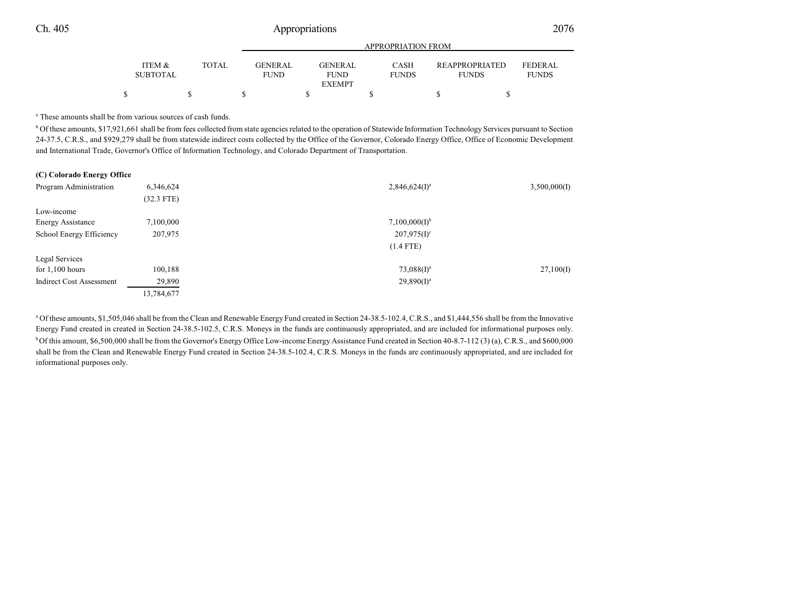|                                      |       | APPROPRIATION FROM             |  |                               |  |                             |  |                                       |  |                                |
|--------------------------------------|-------|--------------------------------|--|-------------------------------|--|-----------------------------|--|---------------------------------------|--|--------------------------------|
| <b>ITEM &amp;</b><br><b>SUBTOTAL</b> | TOTAL | <b>GENER AL</b><br><b>FUND</b> |  | <b>GENERAL</b><br><b>FUND</b> |  | <b>CASH</b><br><b>FUNDS</b> |  | <b>REAPPROPRIATED</b><br><b>FUNDS</b> |  | <b>FEDERAL</b><br><b>FUNDS</b> |
|                                      |       |                                |  | <b>EXEMPT</b>                 |  |                             |  |                                       |  |                                |
|                                      |       |                                |  |                               |  |                             |  |                                       |  |                                |

a These amounts shall be from various sources of cash funds.

<sup>b</sup> Of these amounts, \$17,921,661 shall be from fees collected from state agencies related to the operation of Statewide Information Technology Services pursuant to Section 24-37.5, C.R.S., and \$929,279 shall be from statewide indirect costs collected by the Office of the Governor, Colorado Energy Office, Office of Economic Development and International Trade, Governor's Office of Information Technology, and Colorado Department of Transportation.

| Program Administration          | 6,346,624<br>$(32.3$ FTE) | $2,846,624(I)^a$          | 3,500,000(I) |
|---------------------------------|---------------------------|---------------------------|--------------|
| Low-income                      |                           |                           |              |
| <b>Energy Assistance</b>        | 7,100,000                 | 7,100,000(1) <sup>b</sup> |              |
| School Energy Efficiency        | 207,975                   | $207,975(I)^c$            |              |
|                                 |                           | $(1.4$ FTE)               |              |
| Legal Services                  |                           |                           |              |
| for $1,100$ hours               | 100,188                   | $73,088(I)^a$             | 27,100(I)    |
| <b>Indirect Cost Assessment</b> | 29,890                    | $29,890(I)^a$             |              |
|                                 | 13,784,677                |                           |              |

<sup>a</sup> Of these amounts, \$1,505,046 shall be from the Clean and Renewable Energy Fund created in Section 24-38.5-102.4, C.R.S., and \$1,444,556 shall be from the Innovative Energy Fund created in created in Section 24-38.5-102.5, C.R.S. Moneys in the funds are continuously appropriated, and are included for informational purposes only. <sup>b</sup>Of this amount, \$6,500,000 shall be from the Governor's Energy Office Low-income Energy Assistance Fund created in Section 40-8.7-112 (3) (a), C.R.S., and \$600,000 shall be from the Clean and Renewable Energy Fund created in Section 24-38.5-102.4, C.R.S. Moneys in the funds are continuously appropriated, and are included for informational purposes only.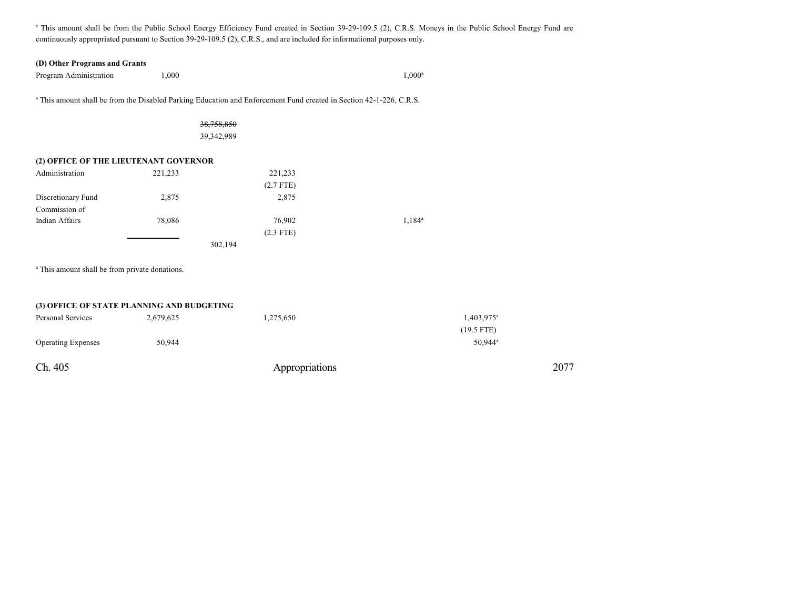<sup>c</sup> This amount shall be from the Public School Energy Efficiency Fund created in Section 39-29-109.5 (2), C.R.S. Moneys in the Public School Energy Fund are continuously appropriated pursuant to Section 39-29-109.5 (2), C.R.S., and are included for informational purposes only.

#### **(D) Other Programs and Grants**

Program Administration 1,000

 $1,000^{\rm a}$ 

a This amount shall be from the Disabled Parking Education and Enforcement Fund created in Section 42-1-226, C.R.S.

### 38,758,850 39,342,989

## **(2) OFFICE OF THE LIEUTENANT GOVERNOR**

| Administration     | 221,233 | 221,233     |                    |
|--------------------|---------|-------------|--------------------|
|                    |         | $(2.7$ FTE) |                    |
| Discretionary Fund | 2,875   | 2,875       |                    |
| Commission of      |         |             |                    |
| Indian Affairs     | 78,086  | 76,902      | 1,184 <sup>a</sup> |
|                    |         | $(2.3$ FTE) |                    |
|                    |         | 302,194     |                    |

<sup>a</sup> This amount shall be from private donations.

### **(3) OFFICE OF STATE PLANNING AND BUDGETING**

| Personal Services         | 2,679,625 | 1,275,650      | 1,403,975 <sup>a</sup> |
|---------------------------|-----------|----------------|------------------------|
|                           |           |                | $(19.5$ FTE)           |
| <b>Operating Expenses</b> | 50,944    |                | 50,944 <sup>a</sup>    |
| Ch. 405                   |           | Appropriations | 2077                   |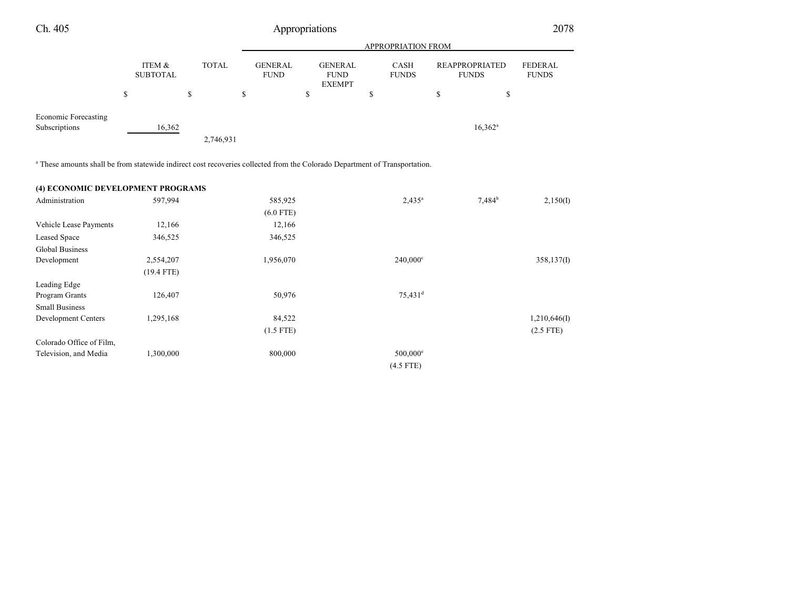| Ch. 405                                                                                                                               |                           | Appropriations |                               |                                                |                             |                                       |                                |
|---------------------------------------------------------------------------------------------------------------------------------------|---------------------------|----------------|-------------------------------|------------------------------------------------|-----------------------------|---------------------------------------|--------------------------------|
|                                                                                                                                       |                           |                |                               |                                                | APPROPRIATION FROM          |                                       |                                |
|                                                                                                                                       | ITEM &<br><b>SUBTOTAL</b> | <b>TOTAL</b>   | <b>GENERAL</b><br><b>FUND</b> | <b>GENERAL</b><br><b>FUND</b><br><b>EXEMPT</b> | <b>CASH</b><br><b>FUNDS</b> | <b>REAPPROPRIATED</b><br><b>FUNDS</b> | <b>FEDERAL</b><br><b>FUNDS</b> |
|                                                                                                                                       | \$                        | \$             | \$                            | \$                                             | \$                          | \$<br>\$                              |                                |
| Economic Forecasting<br>Subscriptions                                                                                                 | 16,362                    |                |                               |                                                |                             | $16,362^a$                            |                                |
|                                                                                                                                       |                           | 2,746,931      |                               |                                                |                             |                                       |                                |
| <sup>a</sup> These amounts shall be from statewide indirect cost recoveries collected from the Colorado Department of Transportation. |                           |                |                               |                                                |                             |                                       |                                |

| (4) ECONOMIC DEVELOPMENT PROGRAMS |              |             |                        |           |              |
|-----------------------------------|--------------|-------------|------------------------|-----------|--------------|
| Administration                    | 597,994      | 585,925     | $2,435^a$              | $7,484^b$ | 2,150(I)     |
|                                   |              | $(6.0$ FTE) |                        |           |              |
| Vehicle Lease Payments            | 12,166       | 12,166      |                        |           |              |
| Leased Space                      | 346,525      | 346,525     |                        |           |              |
| Global Business                   |              |             |                        |           |              |
| Development                       | 2,554,207    | 1,956,070   | $240,000^{\circ}$      |           | 358,137(I)   |
|                                   | $(19.4$ FTE) |             |                        |           |              |
| Leading Edge                      |              |             |                        |           |              |
| Program Grants                    | 126,407      | 50,976      | $75,431$ <sup>d</sup>  |           |              |
| <b>Small Business</b>             |              |             |                        |           |              |
| Development Centers               | 1,295,168    | 84,522      |                        |           | 1,210,646(I) |
|                                   |              | $(1.5$ FTE) |                        |           | $(2.5$ FTE)  |
| Colorado Office of Film,          |              |             |                        |           |              |
| Television, and Media             | 1,300,000    | 800,000     | $500,000$ <sup>e</sup> |           |              |
|                                   |              |             | $(4.5$ FTE)            |           |              |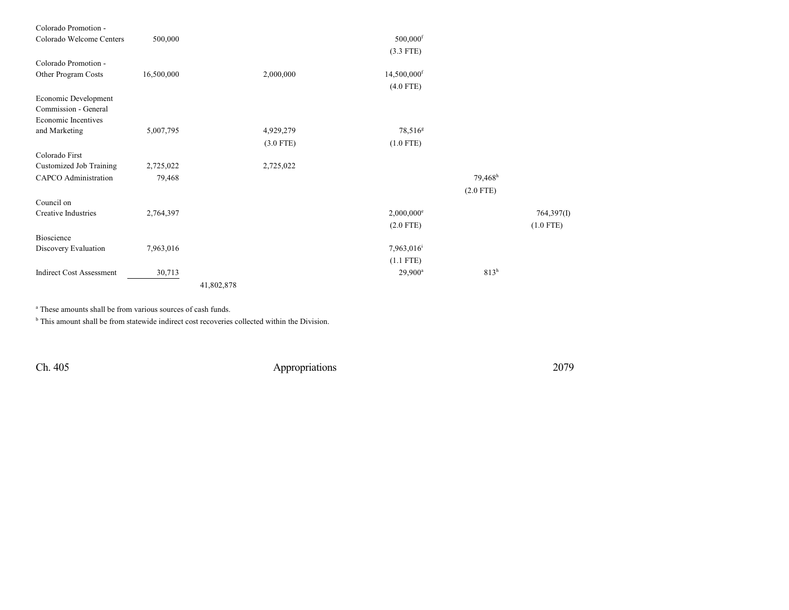| Colorado Promotion -            |            |            |             |                          |                     |                       |             |
|---------------------------------|------------|------------|-------------|--------------------------|---------------------|-----------------------|-------------|
| Colorado Welcome Centers        | 500,000    |            |             | $500,000$ <sup>f</sup>   |                     |                       |             |
|                                 |            |            |             | $(3.3$ FTE)              |                     |                       |             |
| Colorado Promotion -            |            |            |             |                          |                     |                       |             |
| Other Program Costs             | 16,500,000 |            | 2,000,000   | 14,500,000 <sup>f</sup>  |                     |                       |             |
|                                 |            |            |             | $(4.0$ FTE)              |                     |                       |             |
| Economic Development            |            |            |             |                          |                     |                       |             |
| Commission - General            |            |            |             |                          |                     |                       |             |
| Economic Incentives             |            |            |             |                          |                     |                       |             |
| and Marketing                   | 5,007,795  |            | 4,929,279   |                          | 78,516 <sup>g</sup> |                       |             |
|                                 |            |            | $(3.0$ FTE) | $(1.0$ FTE)              |                     |                       |             |
| Colorado First                  |            |            |             |                          |                     |                       |             |
| Customized Job Training         | 2,725,022  |            | 2,725,022   |                          |                     |                       |             |
| <b>CAPCO</b> Administration     | 79,468     |            |             |                          |                     | $79,468$ <sup>h</sup> |             |
|                                 |            |            |             |                          |                     | $(2.0$ FTE)           |             |
| Council on                      |            |            |             |                          |                     |                       |             |
| <b>Creative Industries</b>      | 2,764,397  |            |             | $2,000,000$ <sup>e</sup> |                     |                       | 764,397(I)  |
|                                 |            |            |             | $(2.0$ FTE)              |                     |                       | $(1.0$ FTE) |
| Bioscience                      |            |            |             |                          |                     |                       |             |
| Discovery Evaluation            | 7,963,016  |            |             | 7,963,016 <sup>i</sup>   |                     |                       |             |
|                                 |            |            |             | $(1.1$ FTE)              |                     |                       |             |
| <b>Indirect Cost Assessment</b> | 30,713     |            |             |                          | $29,900^a$          | 813 <sup>h</sup>      |             |
|                                 |            | 41,802,878 |             |                          |                     |                       |             |

a These amounts shall be from various sources of cash funds.

<sup>b</sup> This amount shall be from statewide indirect cost recoveries collected within the Division.

Ch. 405 Appropriations 2079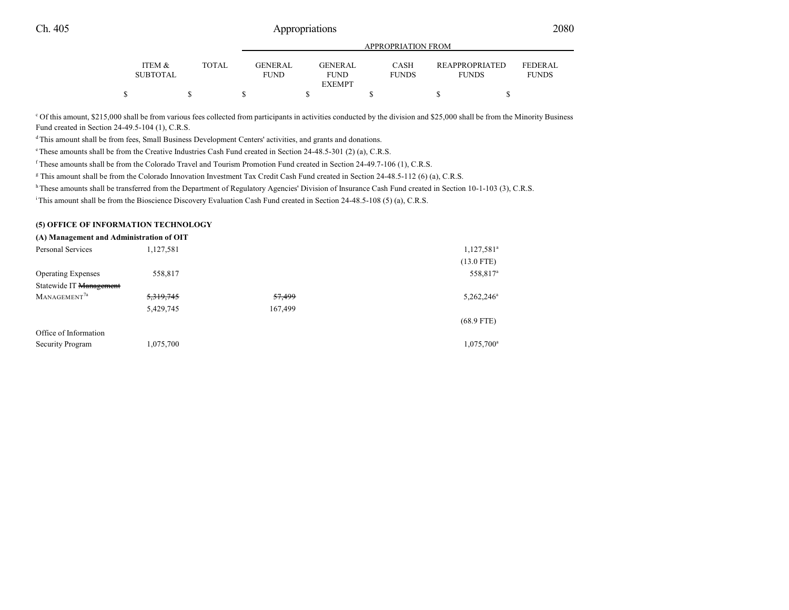|                           |       |                               | APPROPRIATION FROM            |                             |  |                                       |                                |  |  |
|---------------------------|-------|-------------------------------|-------------------------------|-----------------------------|--|---------------------------------------|--------------------------------|--|--|
| ITEM &<br><b>SUBTOTAL</b> | TOTAL | <b>GENERAL</b><br><b>FUND</b> | <b>GENERAL</b><br><b>FUND</b> | <b>CASH</b><br><b>FUNDS</b> |  | <b>REAPPROPRIATED</b><br><b>FUNDS</b> | <b>FEDERAL</b><br><b>FUNDS</b> |  |  |
|                           |       |                               | <b>EXEMPT</b>                 |                             |  |                                       |                                |  |  |
|                           |       |                               |                               |                             |  |                                       |                                |  |  |

<sup>c</sup> Of this amount, \$215,000 shall be from various fees collected from participants in activities conducted by the division and \$25,000 shall be from the Minority Business Fund created in Section 24-49.5-104 (1), C.R.S.

dThis amount shall be from fees, Small Business Development Centers' activities, and grants and donations.

<sup>e</sup>These amounts shall be from the Creative Industries Cash Fund created in Section 24-48.5-301 (2) (a), C.R.S.

f These amounts shall be from the Colorado Travel and Tourism Promotion Fund created in Section 24-49.7-106 (1), C.R.S.

g This amount shall be from the Colorado Innovation Investment Tax Credit Cash Fund created in Section 24-48.5-112 (6) (a), C.R.S.

h These amounts shall be transferred from the Department of Regulatory Agencies' Division of Insurance Cash Fund created in Section 10-1-103 (3), C.R.S.

<sup>i</sup>This amount shall be from the Bioscience Discovery Evaluation Cash Fund created in Section 24-48.5-108 (5) (a), C.R.S.

#### **(5) OFFICE OF INFORMATION TECHNOLOGY**

| (A) Management and Administration of OIT |         |                      |
|------------------------------------------|---------|----------------------|
| 1,127,581                                |         | $1,127,581^a$        |
|                                          |         | $(13.0$ FTE)         |
| 558,817                                  |         | 558,817 <sup>a</sup> |
|                                          |         |                      |
| 5,319,745                                | 57,499  | $5,262,246^a$        |
| 5,429,745                                | 167,499 |                      |
|                                          |         | $(68.9$ FTE)         |
|                                          |         |                      |
| 1,075,700                                |         | $1,075,700^a$        |
|                                          |         |                      |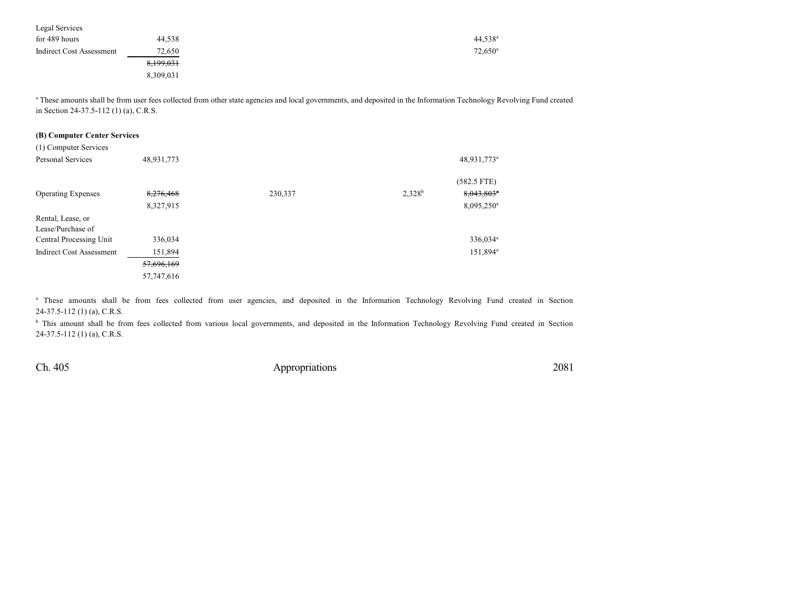| Legal Services           |           |                       |
|--------------------------|-----------|-----------------------|
| for 489 hours            | 44,538    | $44,538^{\rm a}$      |
| Indirect Cost Assessment | 72,650    | $72,650$ <sup>a</sup> |
|                          | 8,199,031 |                       |
|                          | 8,309,031 |                       |

<sup>a</sup> These amounts shall be from user fees collected from other state agencies and local governments, and deposited in the Information Technology Revolving Fund created in Section 24-37.5-112 (1) (a), C.R.S.

#### **(B) Computer Center Services**

| (1) Computer Services           |            |         |           |                          |
|---------------------------------|------------|---------|-----------|--------------------------|
| Personal Services               | 48,931,773 |         |           | 48,931,773 <sup>a</sup>  |
|                                 |            |         |           | $(582.5$ FTE)            |
| <b>Operating Expenses</b>       | 8,276,468  | 230,337 | $2,328^b$ | $8,043,803$ <sup>*</sup> |
|                                 | 8,327,915  |         |           | 8,095,250 <sup>a</sup>   |
| Rental, Lease, or               |            |         |           |                          |
| Lease/Purchase of               |            |         |           |                          |
| Central Processing Unit         | 336,034    |         |           | 336,034 <sup>a</sup>     |
| <b>Indirect Cost Assessment</b> | 151,894    |         |           | 151,894 <sup>a</sup>     |
|                                 | 57,696,169 |         |           |                          |
|                                 | 57,747,616 |         |           |                          |

<sup>a</sup> These amounts shall be from fees collected from user agencies, and deposited in the Information Technology Revolving Fund created in Section 24-37.5-112 (1) (a), C.R.S.

<sup>b</sup> This amount shall be from fees collected from various local governments, and deposited in the Information Technology Revolving Fund created in Section 24-37.5-112 (1) (a), C.R.S.

Ch. 405 Appropriations 2081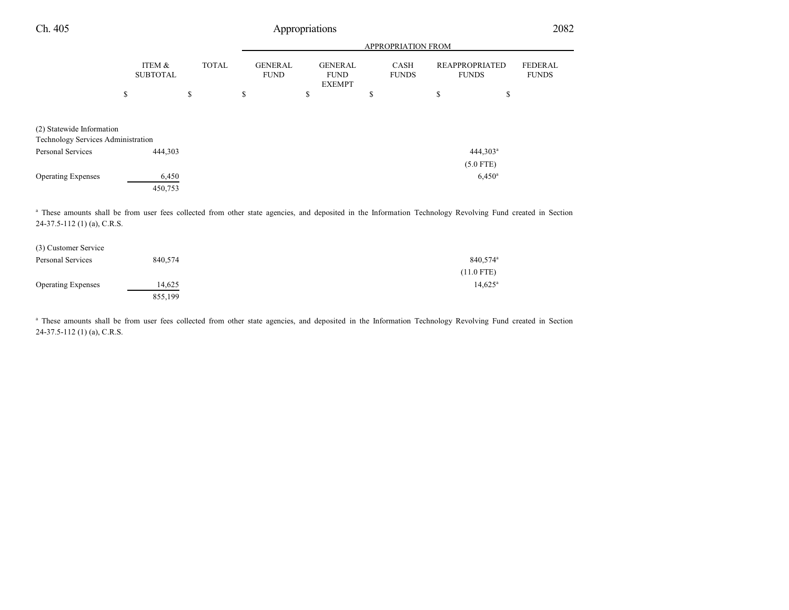| Ch. 405                                                         | Appropriations            |              |                               |                                                |                      |                                       |                                |  |
|-----------------------------------------------------------------|---------------------------|--------------|-------------------------------|------------------------------------------------|----------------------|---------------------------------------|--------------------------------|--|
|                                                                 |                           |              |                               | APPROPRIATION FROM                             |                      |                                       |                                |  |
|                                                                 | ITEM &<br><b>SUBTOTAL</b> | <b>TOTAL</b> | <b>GENERAL</b><br><b>FUND</b> | <b>GENERAL</b><br><b>FUND</b><br><b>EXEMPT</b> | CASH<br><b>FUNDS</b> | <b>REAPPROPRIATED</b><br><b>FUNDS</b> | <b>FEDERAL</b><br><b>FUNDS</b> |  |
|                                                                 | \$                        | \$           | \$                            | \$                                             | \$                   | \$<br>\$                              |                                |  |
| (2) Statewide Information<br>Technology Services Administration |                           |              |                               |                                                |                      |                                       |                                |  |
| Personal Services                                               | 444,303                   |              |                               |                                                |                      | $444,303^a$<br>$(5.0$ FTE)            |                                |  |
| <b>Operating Expenses</b>                                       | 6,450<br>450,753          |              |                               |                                                |                      | $6,450^{\rm a}$                       |                                |  |

<sup>a</sup> These amounts shall be from user fees collected from other state agencies, and deposited in the Information Technology Revolving Fund created in Section 24-37.5-112 (1) (a), C.R.S.

| (3) Customer Service      |         |                      |
|---------------------------|---------|----------------------|
| Personal Services         | 840.574 | 840.574 <sup>a</sup> |
|                           |         | $(11.0$ FTE)         |
| <b>Operating Expenses</b> | 14.625  | $14,625^{\circ}$     |
|                           | 855,199 |                      |

<sup>a</sup> These amounts shall be from user fees collected from other state agencies, and deposited in the Information Technology Revolving Fund created in Section 24-37.5-112 (1) (a), C.R.S.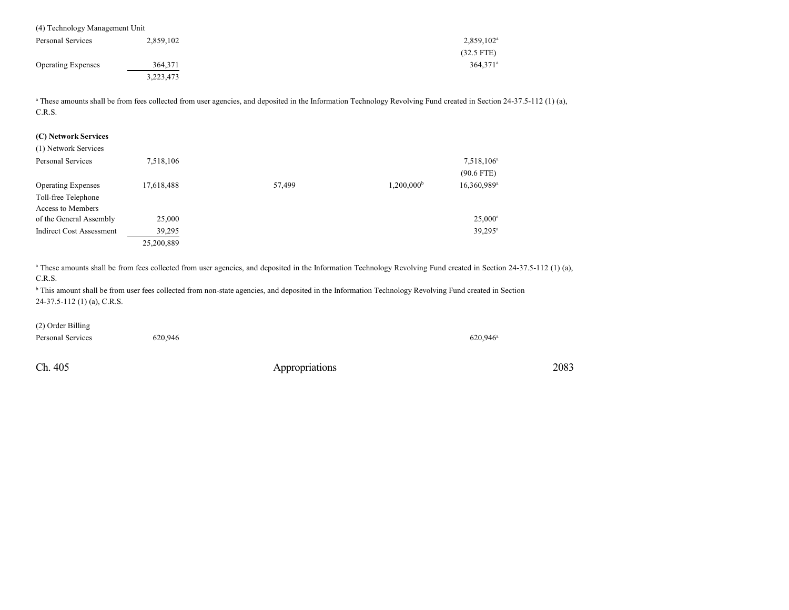| (4) Technology Management Unit |           |                        |
|--------------------------------|-----------|------------------------|
| Personal Services              | 2,859,102 | $2,859,102^a$          |
|                                |           | $(32.5$ FTE)           |
| <b>Operating Expenses</b>      | 364,371   | $364.371$ <sup>a</sup> |
|                                | 3,223,473 |                        |

<sup>a</sup> These amounts shall be from fees collected from user agencies, and deposited in the Information Technology Revolving Fund created in Section 24-37.5-112 (1) (a), C.R.S.

#### **(C) Network Services**

| (1) Network Services            |            |        |                     |                                        |
|---------------------------------|------------|--------|---------------------|----------------------------------------|
| Personal Services               | 7,518,106  |        |                     | 7,518,106 <sup>a</sup><br>$(90.6$ FTE) |
| <b>Operating Expenses</b>       | 17,618,488 | 57,499 | $1,200,000^{\rm b}$ | 16,360,989 <sup>a</sup>                |
| Toll-free Telephone             |            |        |                     |                                        |
| Access to Members               |            |        |                     |                                        |
| of the General Assembly         | 25,000     |        |                     | $25,000^a$                             |
| <b>Indirect Cost Assessment</b> | 39,295     |        |                     | $39,295^{\rm a}$                       |
|                                 | 25,200,889 |        |                     |                                        |

<sup>a</sup> These amounts shall be from fees collected from user agencies, and deposited in the Information Technology Revolving Fund created in Section 24-37.5-112 (1) (a), C.R.S.

<sup>b</sup> This amount shall be from user fees collected from non-state agencies, and deposited in the Information Technology Revolving Fund created in Section 24-37.5-112 (1) (a), C.R.S.

(2) Order Billing

Personal Services 620,946 620,946

Ch. 405 Appropriations 2083

 $620,946^a$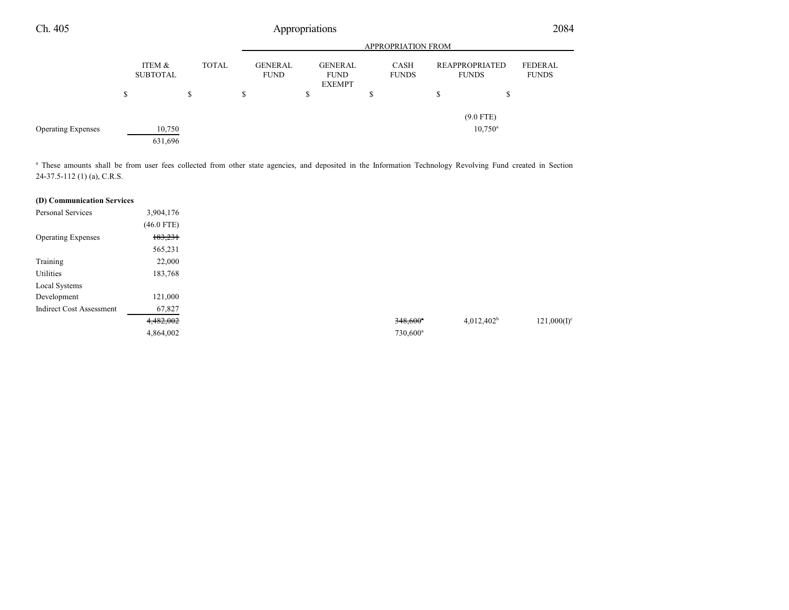| Ch. 405                   | Appropriations |                           |              |                    |                               |  |                                                |  |        | 2084                 |                                       |                  |                         |
|---------------------------|----------------|---------------------------|--------------|--------------------|-------------------------------|--|------------------------------------------------|--|--------|----------------------|---------------------------------------|------------------|-------------------------|
|                           |                |                           |              | APPROPRIATION FROM |                               |  |                                                |  |        |                      |                                       |                  |                         |
|                           |                | ITEM &<br><b>SUBTOTAL</b> | <b>TOTAL</b> |                    | <b>GENERAL</b><br><b>FUND</b> |  | <b>GENERAL</b><br><b>FUND</b><br><b>EXEMPT</b> |  |        | CASH<br><b>FUNDS</b> | <b>REAPPROPRIATED</b><br><b>FUNDS</b> |                  | FEDERAL<br><b>FUNDS</b> |
|                           | S              |                           | \$           |                    | \$                            |  | \$                                             |  | ¢<br>Φ |                      | S                                     | \$               |                         |
|                           |                |                           |              |                    |                               |  |                                                |  |        |                      |                                       | $(9.0$ FTE)      |                         |
| <b>Operating Expenses</b> |                | 10,750                    |              |                    |                               |  |                                                |  |        |                      |                                       | $10,750^{\circ}$ |                         |
|                           |                | 631,696                   |              |                    |                               |  |                                                |  |        |                      |                                       |                  |                         |

<sup>a</sup> These amounts shall be from user fees collected from other state agencies, and deposited in the Information Technology Revolving Fund created in Section 24-37.5-112 (1) (a), C.R.S.

### **(D) Communication Services**

| Personal Services               | 3,904,176    |  |                        |               |
|---------------------------------|--------------|--|------------------------|---------------|
|                                 | $(46.0$ FTE) |  |                        |               |
| <b>Operating Expenses</b>       | 183,231      |  |                        |               |
|                                 | 565,231      |  |                        |               |
| Training                        | 22,000       |  |                        |               |
| Utilities                       | 183,768      |  |                        |               |
| Local Systems                   |              |  |                        |               |
| Development                     | 121,000      |  |                        |               |
| <b>Indirect Cost Assessment</b> | 67,827       |  |                        |               |
|                                 | 4,482,002    |  | $348,600$ <sup>*</sup> | $4,012,402^b$ |
|                                 | 4,864,002    |  | 730,600 <sup>a</sup>   |               |
|                                 |              |  |                        |               |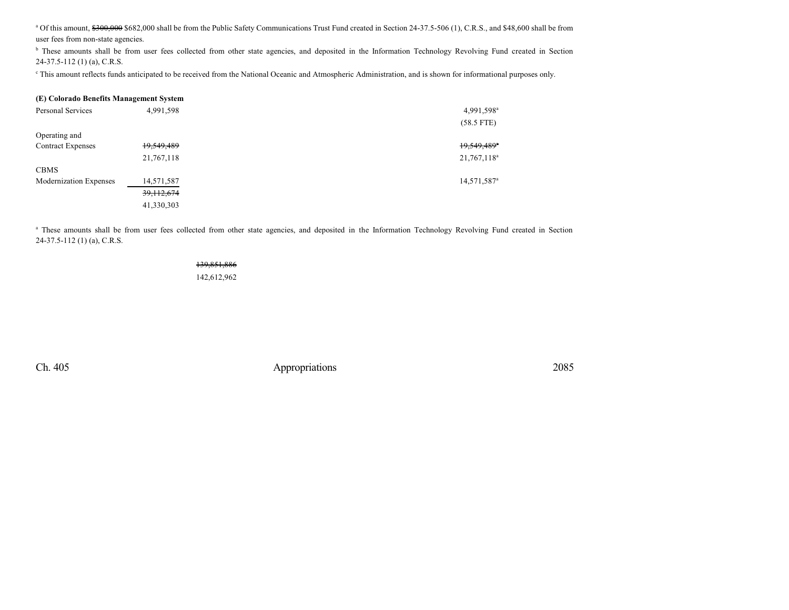<sup>a</sup> Of this amount, \$300,000 \$682,000 shall be from the Public Safety Communications Trust Fund created in Section 24-37.5-506 (1), C.R.S., and \$48,600 shall be from user fees from non-state agencies.

<sup>b</sup> These amounts shall be from user fees collected from other state agencies, and deposited in the Information Technology Revolving Fund created in Section 24-37.5-112 (1) (a), C.R.S.

c This amount reflects funds anticipated to be received from the National Oceanic and Atmospheric Administration, and is shown for informational purposes only.

| (E) Colorado Benefits Management System |              |                         |
|-----------------------------------------|--------------|-------------------------|
| Personal Services                       | 4,991,598    | 4,991,598 <sup>a</sup>  |
|                                         |              | $(58.5$ FTE)            |
| Operating and                           |              |                         |
| <b>Contract Expenses</b>                | 19,549,489   | 19,549,489 <sup>a</sup> |
|                                         | 21,767,118   | 21,767,118 <sup>a</sup> |
| <b>CBMS</b>                             |              |                         |
| Modernization Expenses                  | 14,571,587   | 14,571,587 <sup>a</sup> |
|                                         | 39, 112, 674 |                         |
|                                         | 41,330,303   |                         |

<sup>a</sup> These amounts shall be from user fees collected from other state agencies, and deposited in the Information Technology Revolving Fund created in Section 24-37.5-112 (1) (a), C.R.S.

### 139,851,886 142,612,962

Ch. 405 Appropriations 2085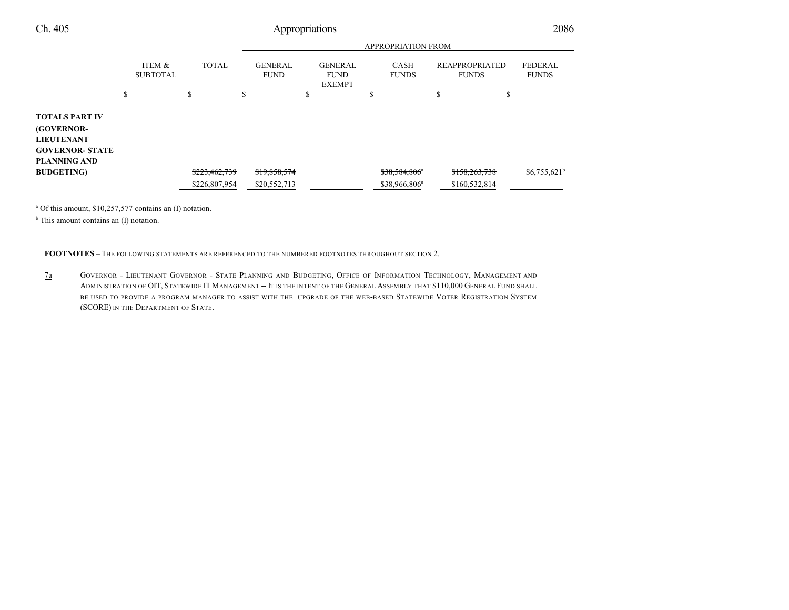|                                                                                                                  |                           |               |         | <b>APPROPRIATION FROM</b>     |    |                                                |    |                             |        |                                       |                                |
|------------------------------------------------------------------------------------------------------------------|---------------------------|---------------|---------|-------------------------------|----|------------------------------------------------|----|-----------------------------|--------|---------------------------------------|--------------------------------|
|                                                                                                                  | ITEM &<br><b>SUBTOTAL</b> | <b>TOTAL</b>  |         | <b>GENERAL</b><br><b>FUND</b> |    | <b>GENERAL</b><br><b>FUND</b><br><b>EXEMPT</b> |    | <b>CASH</b><br><b>FUNDS</b> |        | <b>REAPPROPRIATED</b><br><b>FUNDS</b> | <b>FEDERAL</b><br><b>FUNDS</b> |
|                                                                                                                  | \$                        | \$            | ¢<br>D. |                               | J. |                                                | \$ |                             | Φ<br>ъ | \$                                    |                                |
| <b>TOTALS PART IV</b><br><b>(GOVERNOR-</b><br><b>LIEUTENANT</b><br><b>GOVERNOR- STATE</b><br><b>PLANNING AND</b> |                           |               |         |                               |    |                                                |    |                             |        |                                       |                                |
| <b>BUDGETING</b> )                                                                                               |                           | \$223,462,739 |         | \$19,858,574                  |    |                                                |    | \$38,584,806 <sup>a</sup>   |        | \$158,263,738                         | $$6,755,621^b$                 |
|                                                                                                                  |                           | \$226,807,954 |         | \$20,552,713                  |    |                                                |    | \$38,966,806 <sup>a</sup>   |        | \$160,532,814                         |                                |

a Of this amount, \$10,257,577 contains an (I) notation.

<sup>b</sup> This amount contains an (I) notation.

**FOOTNOTES** – THE FOLLOWING STATEMENTS ARE REFERENCED TO THE NUMBERED FOOTNOTES THROUGHOUT SECTION 2.

7a GOVERNOR - LIEUTENANT GOVERNOR - STATE PLANNING AND BUDGETING, OFFICE OF INFORMATION TECHNOLOGY, MANAGEMENT AND ADMINISTRATION OF OIT, STATEWIDE IT MANAGEMENT -- IT IS THE INTENT OF THE GENERAL ASSEMBLY THAT \$110,000 GENERAL FUND SHALL BE USED TO PROVIDE A PROGRAM MANAGER TO ASSIST WITH THE UPGRADE OF THE WEB-BASED STATEWIDE VOTER REGISTRATION SYSTEM (SCORE) IN THE DEPARTMENT OF STATE.